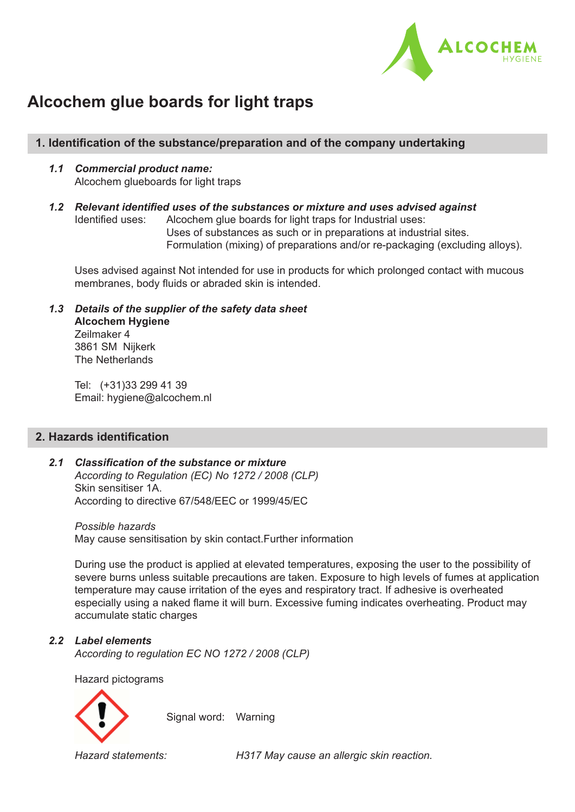

# **Alcochem glue boards for light traps**

## **1. Identification of the substance/preparation and of the company undertaking**

- *1.1 Commercial product name:* Alcochem glueboards for light traps
- *1.2 Relevant identified uses of the substances or mixture and uses advised against* Identified uses: Alcochem glue boards for light traps for Industrial uses: Uses of substances as such or in preparations at industrial sites. Formulation (mixing) of preparations and/or re-packaging (excluding alloys).

 Uses advised against Not intended for use in products for which prolonged contact with mucous membranes, body fluids or abraded skin is intended.

 *1.3 Details of the supplier of the safety data sheet*  **Alcochem Hygiene** Zeilmaker 4 3861 SM Nijkerk The Netherlands

> Tel: (+31)33 299 41 39 Email: hygiene@alcochem.nl

## **2. Hazards identification**

## *2.1 Classification of the substance or mixture According to Regulation (EC) No 1272 / 2008 (CLP)*  Skin sensitiser 1A. According to directive 67/548/EEC or 1999/45/EC

 *Possible hazards* May cause sensitisation by skin contact.Further information

 During use the product is applied at elevated temperatures, exposing the user to the possibility of severe burns unless suitable precautions are taken. Exposure to high levels of fumes at application temperature may cause irritation of the eyes and respiratory tract. If adhesive is overheated especially using a naked flame it will burn. Excessive fuming indicates overheating. Product may accumulate static charges

## *2.2 Label elements*

 *According to regulation EC NO 1272 / 2008 (CLP)* 

Hazard pictograms



 *Hazard statements: H317 May cause an allergic skin reaction.*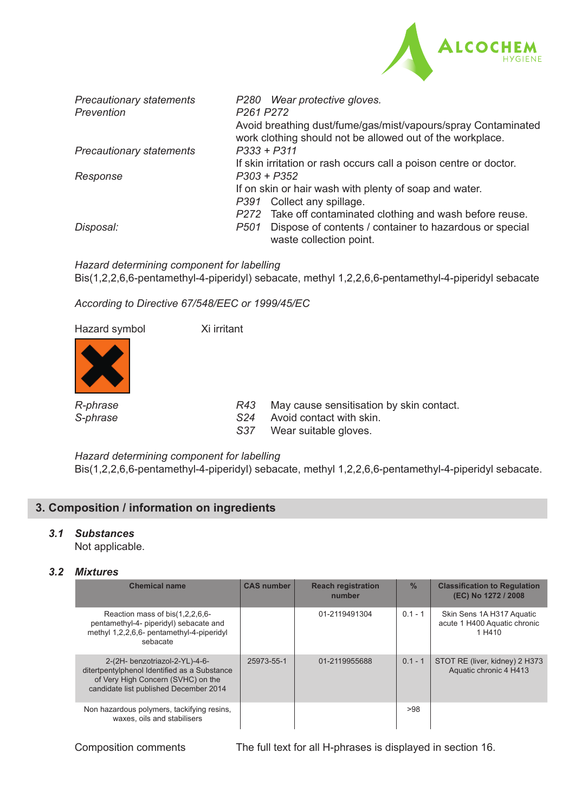

| <b>Precautionary statements</b><br>Prevention | P280 Wear protective gloves.<br>P <sub>261</sub> P <sub>272</sub>                                                                                                         |
|-----------------------------------------------|---------------------------------------------------------------------------------------------------------------------------------------------------------------------------|
|                                               | Avoid breathing dust/fume/gas/mist/vapours/spray Contaminated<br>work clothing should not be allowed out of the workplace.                                                |
| <b>Precautionary statements</b>               | $P333 + P311$<br>If skin irritation or rash occurs call a poison centre or doctor.                                                                                        |
| Response                                      | $P303 + P352$<br>If on skin or hair wash with plenty of soap and water.<br>Collect any spillage.<br>P391<br>Take off contaminated clothing and wash before reuse.<br>P272 |
| Disposal:                                     | Dispose of contents / container to hazardous or special<br>P501<br>waste collection point.                                                                                |

 *Hazard determining component for labelling* Bis(1,2,2,6,6-pentamethyl-4-piperidyl) sebacate, methyl 1,2,2,6,6-pentamethyl-4-piperidyl sebacate

 *According to Directive 67/548/EEC or 1999/45/EC* 

Hazard symbol Xi irritant



*R-phrase R43* May cause sensitisation by skin contact.<br>S-phrase S24 Avoid contact with skin.

- *S-phrase S24* Avoid contact with skin.
- *S37* Wear suitable gloves.

 *Hazard determining component for labelling* Bis(1,2,2,6,6-pentamethyl-4-piperidyl) sebacate, methyl 1,2,2,6,6-pentamethyl-4-piperidyl sebacate.

## **3. Composition / information on ingredients**

## *3.1 Substances*

Not applicable.

## *3.2 Mixtures*

| <b>Chemical name</b>                                                                                                                                           | <b>CAS number</b> | <b>Reach registration</b><br>number | $\frac{0}{0}$ | <b>Classification to Regulation</b><br>(EC) No 1272 / 2008          |
|----------------------------------------------------------------------------------------------------------------------------------------------------------------|-------------------|-------------------------------------|---------------|---------------------------------------------------------------------|
| Reaction mass of bis(1,2,2,6,6-<br>pentamethyl-4- piperidyl) sebacate and<br>methyl 1,2,2,6,6- pentamethyl-4-piperidyl<br>sebacate                             |                   | 01-2119491304                       | $0.1 - 1$     | Skin Sens 1A H317 Aquatic<br>acute 1 H400 Aquatic chronic<br>1 H410 |
| 2-(2H- benzotriazol-2-YL)-4-6-<br>ditertpentylphenol Identified as a Substance<br>of Very High Concern (SVHC) on the<br>candidate list published December 2014 | 25973-55-1        | 01-2119955688                       | $0.1 - 1$     | STOT RE (liver, kidney) 2 H373<br>Aquatic chronic 4 H413            |
| Non hazardous polymers, tackifying resins,<br>waxes, oils and stabilisers                                                                                      |                   |                                     | >98           |                                                                     |

Composition comments The full text for all H-phrases is displayed in section 16.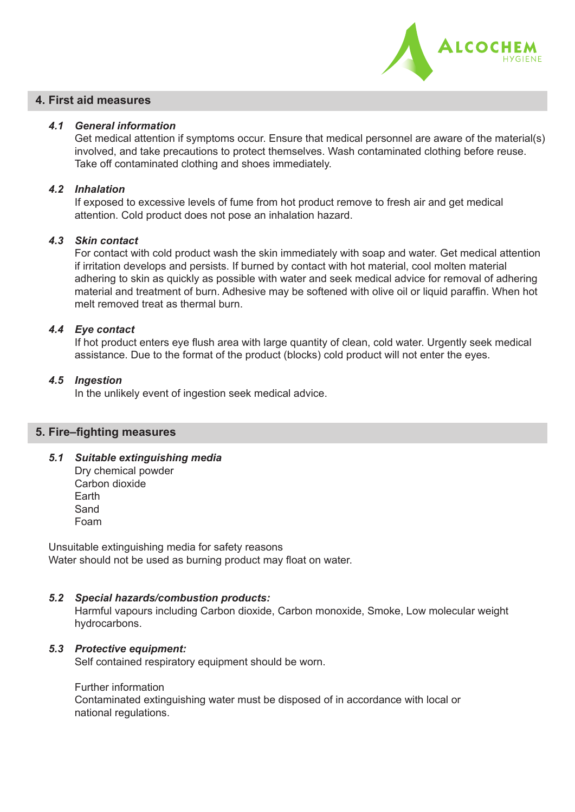

## **4. First aid measures**

#### *4.1 General information*

 Get medical attention if symptoms occur. Ensure that medical personnel are aware of the material(s) involved, and take precautions to protect themselves. Wash contaminated clothing before reuse. Take off contaminated clothing and shoes immediately.

#### *4.2 Inhalation*

 If exposed to excessive levels of fume from hot product remove to fresh air and get medical attention. Cold product does not pose an inhalation hazard.

#### *4.3 Skin contact*

 For contact with cold product wash the skin immediately with soap and water. Get medical attention if irritation develops and persists. If burned by contact with hot material, cool molten material adhering to skin as quickly as possible with water and seek medical advice for removal of adhering material and treatment of burn. Adhesive may be softened with olive oil or liquid paraffin. When hot melt removed treat as thermal burn.

#### *4.4 Eye contact*

 If hot product enters eye flush area with large quantity of clean, cold water. Urgently seek medical assistance. Due to the format of the product (blocks) cold product will not enter the eyes.

#### *4.5 Ingestion*

In the unlikely event of ingestion seek medical advice.

#### **5. Fire–fighting measures**

 *5.1 Suitable extinguishing media*

 Dry chemical powder Carbon dioxide Earth Sand Foam

Unsuitable extinguishing media for safety reasons Water should not be used as burning product may float on water.

## *5.2 Special hazards/combustion products:*

 Harmful vapours including Carbon dioxide, Carbon monoxide, Smoke, Low molecular weight hydrocarbons.

#### *5.3 Protective equipment:*

Self contained respiratory equipment should be worn.

#### Further information

 Contaminated extinguishing water must be disposed of in accordance with local or national regulations.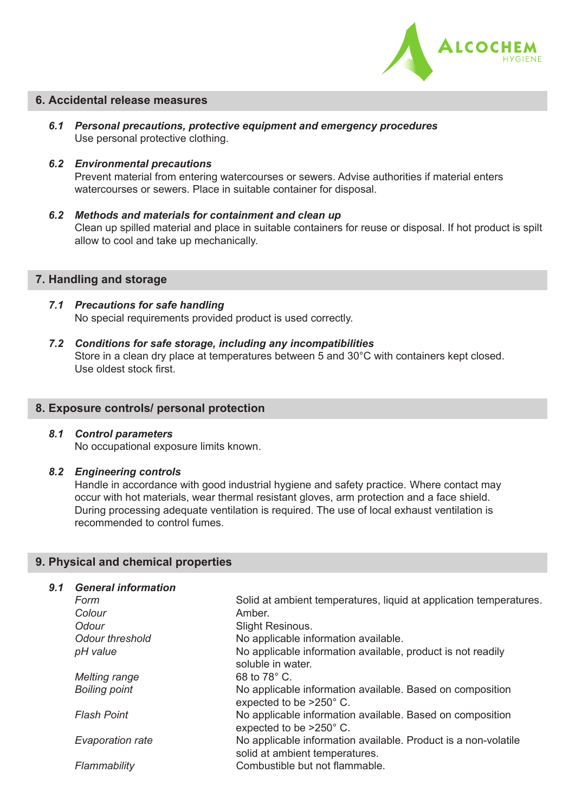

#### **6. Accidental release measures**

- *6.1 Personal precautions, protective equipment and emergency procedures* Use personal protective clothing.
- *6.2 Environmental precautions*

 Prevent material from entering watercourses or sewers. Advise authorities if material enters watercourses or sewers. Place in suitable container for disposal.

 *6.2 Methods and materials for containment and clean up* Clean up spilled material and place in suitable containers for reuse or disposal. If hot product is spilt allow to cool and take up mechanically.

#### **7. Handling and storage**

- *7.1 Precautions for safe handling* No special requirements provided product is used correctly.
- *7.2 Conditions for safe storage, including any incompatibilities* Store in a clean dry place at temperatures between 5 and 30°C with containers kept closed. Use oldest stock first.

#### **8. Exposure controls/ personal protection**

## *8.1 Control parameters*

No occupational exposure limits known.

#### *8.2 Engineering controls*

Handle in accordance with good industrial hygiene and safety practice. Where contact may occur with hot materials, wear thermal resistant gloves, arm protection and a face shield. During processing adequate ventilation is required. The use of local exhaust ventilation is recommended to control fumes.

## **9. Physical and chemical properties**

#### *9.1 General information*

| Form                    | Solid at ambient temperatures, liquid at application temperatures.                               |
|-------------------------|--------------------------------------------------------------------------------------------------|
| Colour                  | Amber.                                                                                           |
| Odour                   | <b>Slight Resinous.</b>                                                                          |
| <b>Odour threshold</b>  | No applicable information available.                                                             |
| pH value                | No applicable information available, product is not readily<br>soluble in water.                 |
| Melting range           | 68 to $78^{\circ}$ C.                                                                            |
| <b>Boiling point</b>    | No applicable information available. Based on composition<br>expected to be >250° C.             |
| <b>Flash Point</b>      | No applicable information available. Based on composition<br>expected to be >250° C.             |
| <b>Evaporation rate</b> | No applicable information available. Product is a non-volatile<br>solid at ambient temperatures. |
| Flammability            | Combustible but not flammable.                                                                   |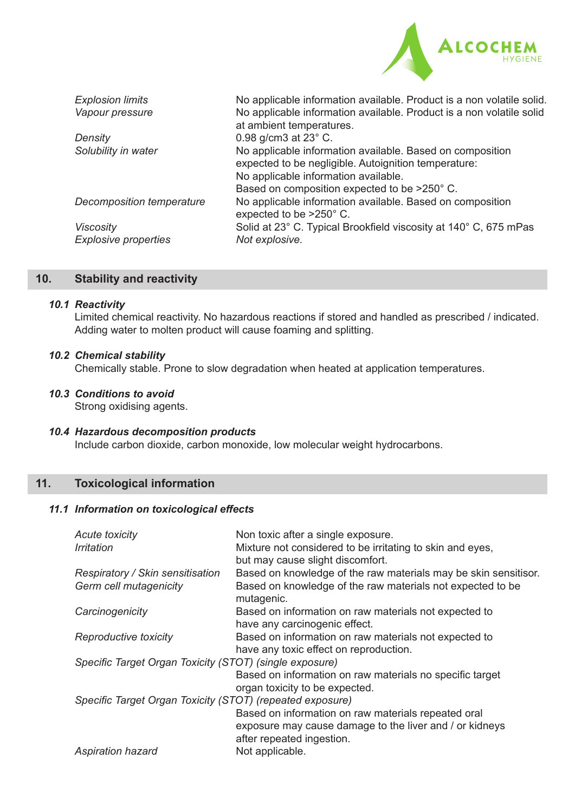

| <b>Explosion limits</b>     | No applicable information available. Product is a non volatile solid.                |
|-----------------------------|--------------------------------------------------------------------------------------|
| Vapour pressure             | No applicable information available. Product is a non volatile solid                 |
|                             | at ambient temperatures.                                                             |
| Density                     | 0.98 g/cm3 at 23° C.                                                                 |
| Solubility in water         | No applicable information available. Based on composition                            |
|                             | expected to be negligible. Autoignition temperature:                                 |
|                             | No applicable information available.                                                 |
|                             | Based on composition expected to be >250° C.                                         |
| Decomposition temperature   | No applicable information available. Based on composition<br>expected to be >250° C. |
| <b>Viscosity</b>            | Solid at 23° C. Typical Brookfield viscosity at 140° C, 675 mPas                     |
| <b>Explosive properties</b> | Not explosive.                                                                       |
|                             |                                                                                      |

## **10. Stability and reactivity**

#### *10.1 Reactivity*

 Limited chemical reactivity. No hazardous reactions if stored and handled as prescribed / indicated. Adding water to molten product will cause foaming and splitting.

#### *10.2 Chemical stability*

 Chemically stable. Prone to slow degradation when heated at application temperatures.

## *10.3 Conditions to avoid*

Strong oxidising agents.

## *10.4 Hazardous decomposition products*

Include carbon dioxide, carbon monoxide, low molecular weight hydrocarbons.

## **11. Toxicological information**

#### *11.1 Information on toxicological effects*

| Acute toxicity                                            | Non toxic after a single exposure.                                                     |
|-----------------------------------------------------------|----------------------------------------------------------------------------------------|
| <i><u><b>Irritation</b></u></i>                           | Mixture not considered to be irritating to skin and eyes,                              |
|                                                           | but may cause slight discomfort.                                                       |
| Respiratory / Skin sensitisation                          | Based on knowledge of the raw materials may be skin sensitisor.                        |
| Germ cell mutagenicity                                    | Based on knowledge of the raw materials not expected to be<br>mutagenic.               |
| Carcinogenicity                                           | Based on information on raw materials not expected to<br>have any carcinogenic effect. |
| Reproductive toxicity                                     | Based on information on raw materials not expected to                                  |
|                                                           | have any toxic effect on reproduction.                                                 |
| Specific Target Organ Toxicity (STOT) (single exposure)   |                                                                                        |
|                                                           | Based on information on raw materials no specific target                               |
|                                                           | organ toxicity to be expected.                                                         |
| Specific Target Organ Toxicity (STOT) (repeated exposure) |                                                                                        |
|                                                           | Based on information on raw materials repeated oral                                    |
|                                                           | exposure may cause damage to the liver and / or kidneys                                |
|                                                           | after repeated ingestion.                                                              |
| <b>Aspiration hazard</b>                                  | Not applicable.                                                                        |
|                                                           |                                                                                        |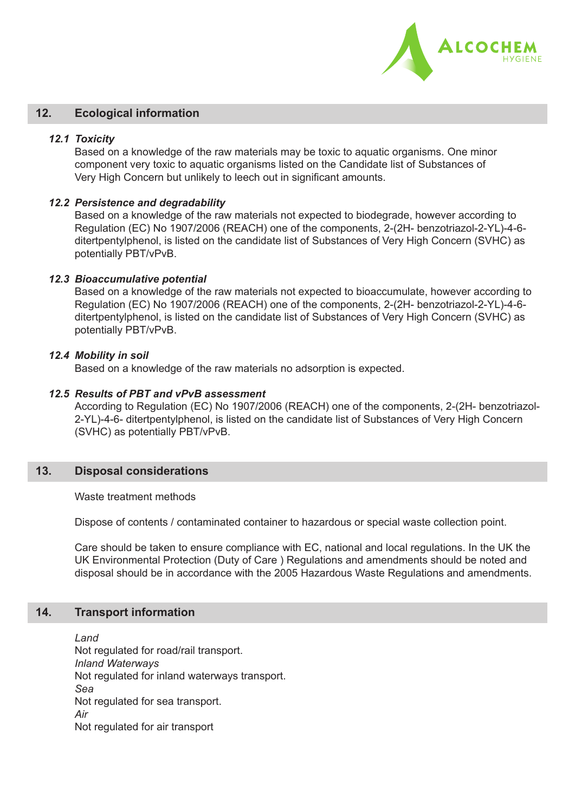

#### **12. Ecological information**

#### *12.1 Toxicity*

 Based on a knowledge of the raw materials may be toxic to aquatic organisms. One minor component very toxic to aquatic organisms listed on the Candidate list of Substances of Very High Concern but unlikely to leech out in significant amounts.

#### *12.2 Persistence and degradability*

 Based on a knowledge of the raw materials not expected to biodegrade, however according to Regulation (EC) No 1907/2006 (REACH) one of the components, 2-(2H- benzotriazol-2-YL)-4-6 ditertpentylphenol, is listed on the candidate list of Substances of Very High Concern (SVHC) as potentially PBT/vPvB.

#### *12.3 Bioaccumulative potential*

 Based on a knowledge of the raw materials not expected to bioaccumulate, however according to Regulation (EC) No 1907/2006 (REACH) one of the components, 2-(2H- benzotriazol-2-YL)-4-6 ditertpentylphenol, is listed on the candidate list of Substances of Very High Concern (SVHC) as potentially PBT/vPvB.

#### *12.4 Mobility in soil*

Based on a knowledge of the raw materials no adsorption is expected.

#### *12.5 Results of PBT and vPvB assessment*

 According to Regulation (EC) No 1907/2006 (REACH) one of the components, 2-(2H- benzotriazol-2-YL)-4-6- ditertpentylphenol, is listed on the candidate list of Substances of Very High Concern (SVHC) as potentially PBT/vPvB.

#### **13. Disposal considerations**

 Waste treatment methods

Dispose of contents / contaminated container to hazardous or special waste collection point.

 Care should be taken to ensure compliance with EC, national and local regulations. In the UK the UK Environmental Protection (Duty of Care ) Regulations and amendments should be noted and disposal should be in accordance with the 2005 Hazardous Waste Regulations and amendments.

#### **14. Transport information**

 *Land* Not regulated for road/rail transport. *Inland Waterways* Not regulated for inland waterways transport. *Sea* Not regulated for sea transport. *Air* Not regulated for air transport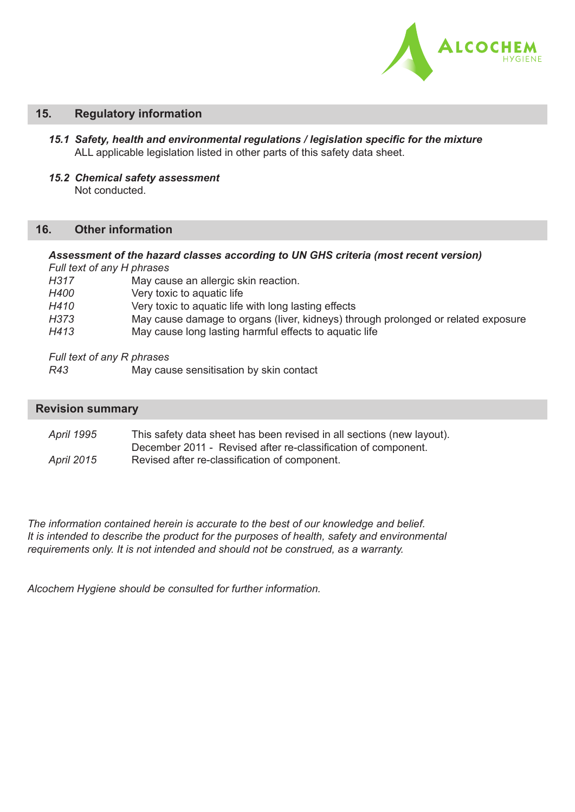

#### **15. Regulatory information**

- *15.1 Safety, health and environmental regulations / legislation specific for the mixture* ALL applicable legislation listed in other parts of this safety data sheet.
- *15.2 Chemical safety assessment* Not conducted.

## **16. Other information**

#### *Assessment of the hazard classes according to UN GHS criteria (most recent version) Full text of any H phrases*

| H317 | May cause an allergic skin reaction.                                              |
|------|-----------------------------------------------------------------------------------|
| H400 | Very toxic to aquatic life                                                        |
| H410 | Very toxic to aquatic life with long lasting effects                              |
| H373 | May cause damage to organs (liver, kidneys) through prolonged or related exposure |
| H413 | May cause long lasting harmful effects to aquatic life                            |

*Full text of any R phrases*

| R43 |  | May cause sensitisation by skin contact |  |
|-----|--|-----------------------------------------|--|
|-----|--|-----------------------------------------|--|

#### **Revision summary**

*April 1995* This safety data sheet has been revised in all sections (new layout). December 2011 - Revised after re-classification of component. *April 2015* Revised after re-classification of component.

*The information contained herein is accurate to the best of our knowledge and belief. It is intended to describe the product for the purposes of health, safety and environmental requirements only. It is not intended and should not be construed, as a warranty.* 

*Alcochem Hygiene should be consulted for further information.*